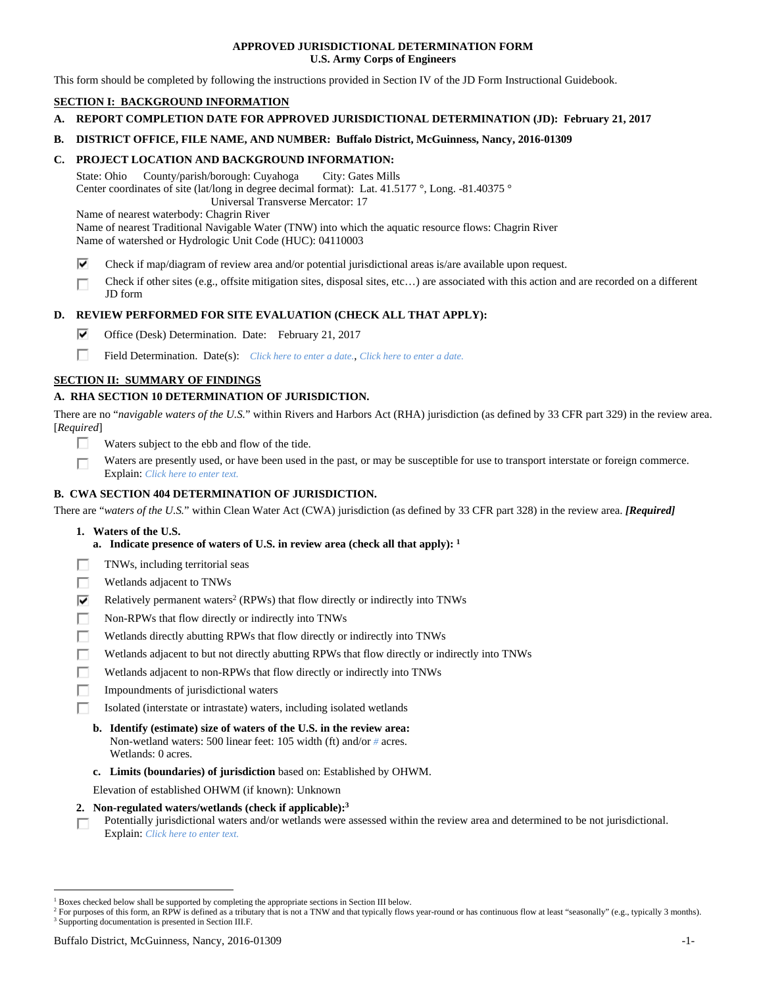### **APPROVED JURISDICTIONAL DETERMINATION FORM U.S. Army Corps of Engineers**

This form should be completed by following the instructions provided in Section IV of the JD Form Instructional Guidebook.

# **SECTION I: BACKGROUND INFORMATION**

**A. REPORT COMPLETION DATE FOR APPROVED JURISDICTIONAL DETERMINATION (JD): February 21, 2017** 

### **B. DISTRICT OFFICE, FILE NAME, AND NUMBER: Buffalo District, McGuinness, Nancy, 2016-01309**

### **C. PROJECT LOCATION AND BACKGROUND INFORMATION:**

State: Ohio County/parish/borough: Cuyahoga City: Gates Mills Center coordinates of site (lat/long in degree decimal format): Lat. 41.5177 °, Long. -81.40375 ° Universal Transverse Mercator: 17

Name of nearest waterbody: Chagrin River

Name of nearest Traditional Navigable Water (TNW) into which the aquatic resource flows: Chagrin River Name of watershed or Hydrologic Unit Code (HUC): 04110003

- ⊽ Check if map/diagram of review area and/or potential jurisdictional areas is/are available upon request.
- Check if other sites (e.g., offsite mitigation sites, disposal sites, etc…) are associated with this action and are recorded on a different г JD form

## **D. REVIEW PERFORMED FOR SITE EVALUATION (CHECK ALL THAT APPLY):**

- ⊽ Office (Desk) Determination. Date: February 21, 2017
- П Field Determination. Date(s): *Click here to enter a date.*, *Click here to enter a date.*

# **SECTION II: SUMMARY OF FINDINGS**

# **A. RHA SECTION 10 DETERMINATION OF JURISDICTION.**

There are no "*navigable waters of the U.S.*" within Rivers and Harbors Act (RHA) jurisdiction (as defined by 33 CFR part 329) in the review area. [*Required*]

- п. Waters subject to the ebb and flow of the tide.
- Waters are presently used, or have been used in the past, or may be susceptible for use to transport interstate or foreign commerce. г Explain: *Click here to enter text.*

## **B. CWA SECTION 404 DETERMINATION OF JURISDICTION.**

There are "*waters of the U.S.*" within Clean Water Act (CWA) jurisdiction (as defined by 33 CFR part 328) in the review area. *[Required]*

- **1. Waters of the U.S.** 
	- **a. Indicate presence of waters of U.S. in review area (check all that apply): 1**
- Е TNWs, including territorial seas
- п Wetlands adjacent to TNWs
- Relatively permanent waters<sup>2</sup> (RPWs) that flow directly or indirectly into TNWs ☑
- г Non-RPWs that flow directly or indirectly into TNWs
- п Wetlands directly abutting RPWs that flow directly or indirectly into TNWs
- Wetlands adjacent to but not directly abutting RPWs that flow directly or indirectly into TNWs Е
- Wetlands adjacent to non-RPWs that flow directly or indirectly into TNWs г
- г Impoundments of jurisdictional waters
- Isolated (interstate or intrastate) waters, including isolated wetlands п
	- **b. Identify (estimate) size of waters of the U.S. in the review area:**  Non-wetland waters: 500 linear feet: 105 width (ft) and/or *#* acres. Wetlands: 0 acres.
	- **c. Limits (boundaries) of jurisdiction** based on: Established by OHWM.

Elevation of established OHWM (if known): Unknown

- **2. Non-regulated waters/wetlands (check if applicable):3**
- Potentially jurisdictional waters and/or wetlands were assessed within the review area and determined to be not jurisdictional. п Explain: *Click here to enter text.*

<sup>&</sup>lt;sup>1</sup> Boxes checked below shall be supported by completing the appropriate sections in Section III below.<br><sup>2</sup> For purposes of this form, an PPW is defined as a tributary that is not a TNW and that typically flows

<sup>&</sup>lt;sup>2</sup> For purposes of this form, an RPW is defined as a tributary that is not a TNW and that typically flows year-round or has continuous flow at least "seasonally" (e.g., typically 3 months). <sup>3</sup> Supporting documentation is presented in Section III.F.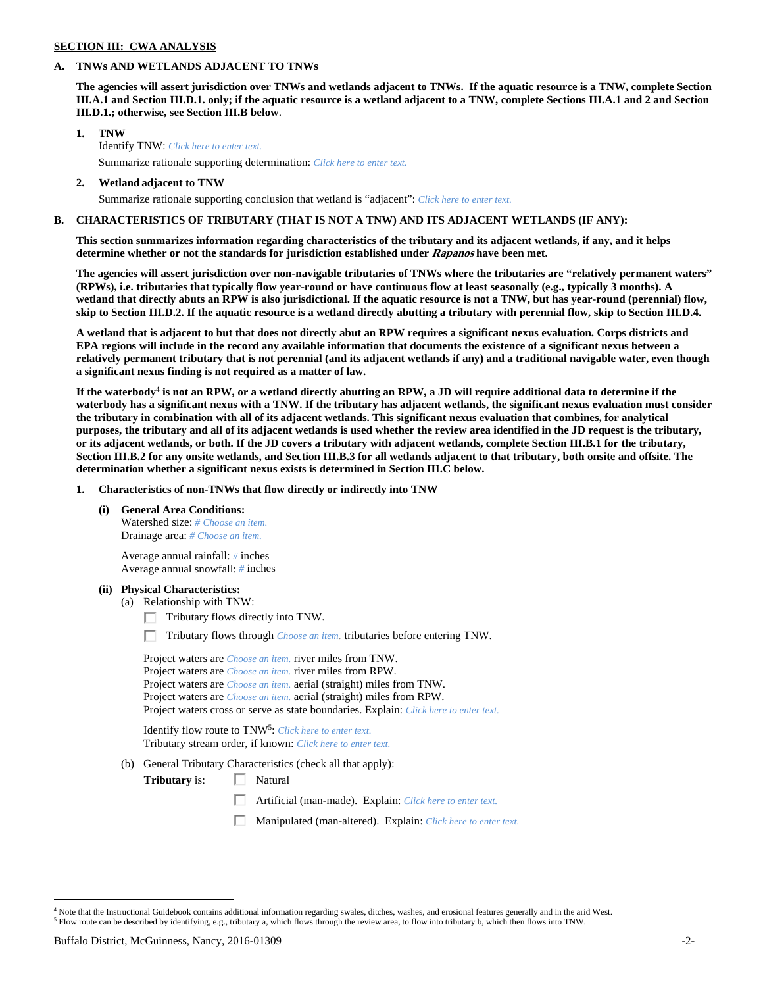# **SECTION III: CWA ANALYSIS**

### **A. TNWs AND WETLANDS ADJACENT TO TNWs**

**The agencies will assert jurisdiction over TNWs and wetlands adjacent to TNWs. If the aquatic resource is a TNW, complete Section III.A.1 and Section III.D.1. only; if the aquatic resource is a wetland adjacent to a TNW, complete Sections III.A.1 and 2 and Section III.D.1.; otherwise, see Section III.B below**.

- **1. TNW**  Identify TNW: *Click here to enter text.*
	- Summarize rationale supporting determination: *Click here to enter text.*
- **2. Wetland adjacent to TNW**  Summarize rationale supporting conclusion that wetland is "adjacent": *Click here to enter text.*

### **B. CHARACTERISTICS OF TRIBUTARY (THAT IS NOT A TNW) AND ITS ADJACENT WETLANDS (IF ANY):**

**This section summarizes information regarding characteristics of the tributary and its adjacent wetlands, if any, and it helps determine whether or not the standards for jurisdiction established under Rapanos have been met.** 

**The agencies will assert jurisdiction over non-navigable tributaries of TNWs where the tributaries are "relatively permanent waters" (RPWs), i.e. tributaries that typically flow year-round or have continuous flow at least seasonally (e.g., typically 3 months). A wetland that directly abuts an RPW is also jurisdictional. If the aquatic resource is not a TNW, but has year-round (perennial) flow, skip to Section III.D.2. If the aquatic resource is a wetland directly abutting a tributary with perennial flow, skip to Section III.D.4.** 

**A wetland that is adjacent to but that does not directly abut an RPW requires a significant nexus evaluation. Corps districts and EPA regions will include in the record any available information that documents the existence of a significant nexus between a relatively permanent tributary that is not perennial (and its adjacent wetlands if any) and a traditional navigable water, even though a significant nexus finding is not required as a matter of law.** 

If the waterbody<sup>4</sup> is not an RPW, or a wetland directly abutting an RPW, a JD will require additional data to determine if the **waterbody has a significant nexus with a TNW. If the tributary has adjacent wetlands, the significant nexus evaluation must consider the tributary in combination with all of its adjacent wetlands. This significant nexus evaluation that combines, for analytical purposes, the tributary and all of its adjacent wetlands is used whether the review area identified in the JD request is the tributary, or its adjacent wetlands, or both. If the JD covers a tributary with adjacent wetlands, complete Section III.B.1 for the tributary, Section III.B.2 for any onsite wetlands, and Section III.B.3 for all wetlands adjacent to that tributary, both onsite and offsite. The determination whether a significant nexus exists is determined in Section III.C below.** 

 **1. Characteristics of non-TNWs that flow directly or indirectly into TNW** 

 **(i) General Area Conditions:** 

 Watershed size: *# Choose an item.* Drainage area: *# Choose an item.*

 Average annual rainfall: *#* inches Average annual snowfall: *#* inches

#### **(ii) Physical Characteristics:**

- (a) Relationship with TNW:
	- $\Box$  Tributary flows directly into TNW.

п Tributary flows through *Choose an item.* tributaries before entering TNW.

 Project waters are *Choose an item.* river miles from TNW. Project waters are *Choose an item.* river miles from RPW. Project waters are *Choose an item.* aerial (straight) miles from TNW. Project waters are *Choose an item.* aerial (straight) miles from RPW. Project waters cross or serve as state boundaries. Explain: *Click here to enter text.*

Identify flow route to TNW5: *Click here to enter text.* Tributary stream order, if known: *Click here to enter text.*

(b) General Tributary Characteristics (check all that apply):

**Tributary** is:  $\Box$  Natural

口 Artificial (man-made). Explain: *Click here to enter text.*

Manipulated (man-altered). Explain: *Click here to enter text.*

<sup>4</sup> Note that the Instructional Guidebook contains additional information regarding swales, ditches, washes, and erosional features generally and in the arid West.  $^5$  Flow route can be described by identifying, e.g., tributary a, which flows through the review area, to flow into tributary b, which then flows into TNW.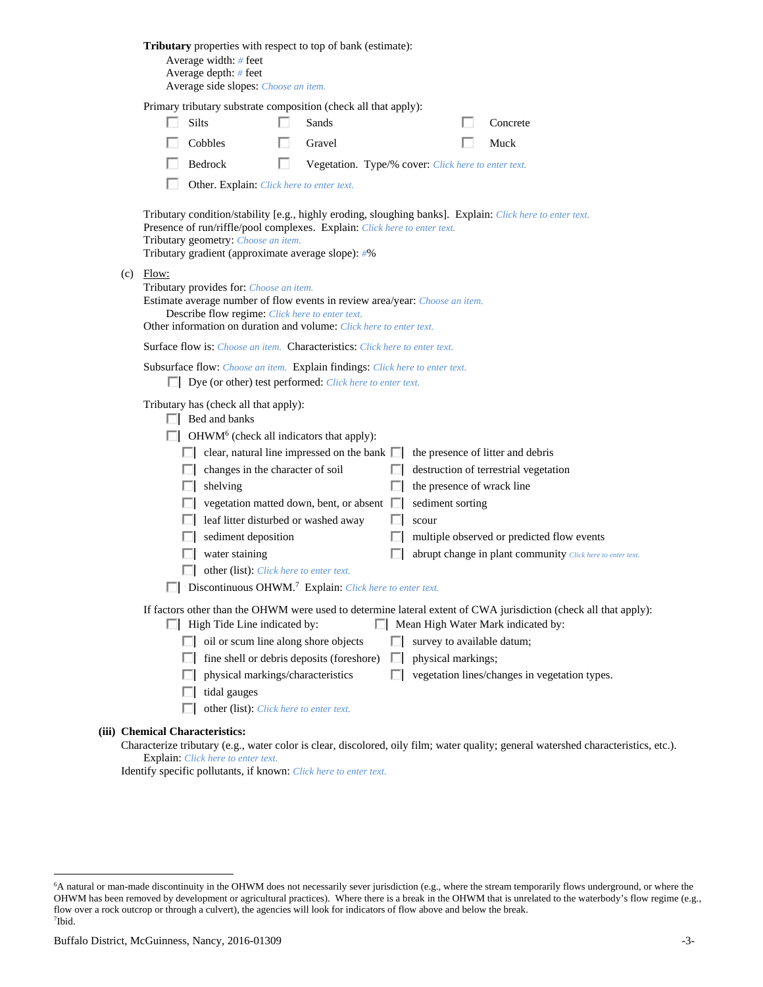| <b>Tributary</b> properties with respect to top of bank (estimate):<br>Average width: $#$ feet<br>Average depth: # feet<br>Average side slopes: Choose an item.                                                                                                                                                                                                                                                                                                                                                                                                                                                                                                                                                                                             |
|-------------------------------------------------------------------------------------------------------------------------------------------------------------------------------------------------------------------------------------------------------------------------------------------------------------------------------------------------------------------------------------------------------------------------------------------------------------------------------------------------------------------------------------------------------------------------------------------------------------------------------------------------------------------------------------------------------------------------------------------------------------|
| Primary tributary substrate composition (check all that apply):                                                                                                                                                                                                                                                                                                                                                                                                                                                                                                                                                                                                                                                                                             |
| <b>Silts</b><br>Sands<br>Concrete                                                                                                                                                                                                                                                                                                                                                                                                                                                                                                                                                                                                                                                                                                                           |
| Cobbles<br>Gravel<br>Muck                                                                                                                                                                                                                                                                                                                                                                                                                                                                                                                                                                                                                                                                                                                                   |
| Bedrock<br>U<br>Vegetation. Type/% cover: Click here to enter text.                                                                                                                                                                                                                                                                                                                                                                                                                                                                                                                                                                                                                                                                                         |
| Other. Explain: Click here to enter text.                                                                                                                                                                                                                                                                                                                                                                                                                                                                                                                                                                                                                                                                                                                   |
| Tributary condition/stability [e.g., highly eroding, sloughing banks]. Explain: Click here to enter text.<br>Presence of run/riffle/pool complexes. Explain: Click here to enter text.<br>Tributary geometry: Choose an item.<br>Tributary gradient (approximate average slope): #%                                                                                                                                                                                                                                                                                                                                                                                                                                                                         |
| $(c)$ Flow:<br>Tributary provides for: Choose an item.<br>Estimate average number of flow events in review area/year: Choose an item.<br>Describe flow regime: Click here to enter text.<br>Other information on duration and volume: Click here to enter text.                                                                                                                                                                                                                                                                                                                                                                                                                                                                                             |
| <b>Surface flow is:</b> Choose an item. <b>Characteristics:</b> Click here to enter text.                                                                                                                                                                                                                                                                                                                                                                                                                                                                                                                                                                                                                                                                   |
| Subsurface flow: Choose an item. Explain findings: Click here to enter text.                                                                                                                                                                                                                                                                                                                                                                                                                                                                                                                                                                                                                                                                                |
| $\Box$ Dye (or other) test performed: <i>Click here to enter text</i> .                                                                                                                                                                                                                                                                                                                                                                                                                                                                                                                                                                                                                                                                                     |
| Tributary has (check all that apply):<br>$\Box$ Bed and banks<br>$\Box$ OHWM <sup>6</sup> (check all indicators that apply):<br>$\Box$ clear, natural line impressed on the bank $\Box$<br>the presence of litter and debris<br>destruction of terrestrial vegetation<br>changes in the character of soil<br>ш<br>the presence of wrack line<br>shelving<br>ш<br>vegetation matted down, bent, or absent $\Box$<br>sediment sorting<br>leaf litter disturbed or washed away<br>scour<br>sediment deposition<br>multiple observed or predicted flow events<br>water staining<br>abrupt change in plant community Click here to enter text.<br>other (list): Click here to enter text.<br>Discontinuous OHWM. <sup>7</sup> Explain: Click here to enter text. |
| If factors other than the OHWM were used to determine lateral extent of CWA jurisdiction (check all that apply):                                                                                                                                                                                                                                                                                                                                                                                                                                                                                                                                                                                                                                            |
| $\Box$ High Tide Line indicated by:<br>Mean High Water Mark indicated by:                                                                                                                                                                                                                                                                                                                                                                                                                                                                                                                                                                                                                                                                                   |
| $\Box$ oil or scum line along shore objects<br>survey to available datum;                                                                                                                                                                                                                                                                                                                                                                                                                                                                                                                                                                                                                                                                                   |
| fine shell or debris deposits (foreshore)<br>physical markings;<br>. .<br>physical markings/characteristics<br>vegetation lines/changes in vegetation types.                                                                                                                                                                                                                                                                                                                                                                                                                                                                                                                                                                                                |
| tidal gauges                                                                                                                                                                                                                                                                                                                                                                                                                                                                                                                                                                                                                                                                                                                                                |
| other (list): Click here to enter text.                                                                                                                                                                                                                                                                                                                                                                                                                                                                                                                                                                                                                                                                                                                     |
| (iii) Chemical Characteristics:                                                                                                                                                                                                                                                                                                                                                                                                                                                                                                                                                                                                                                                                                                                             |
| Characterize tributary (e.g., water color is clear, discolored, oily film; water quality; general watershed characteristics, etc.).<br>Explain: Click here to enter text.                                                                                                                                                                                                                                                                                                                                                                                                                                                                                                                                                                                   |

Identify specific pollutants, if known: *Click here to enter text.*

<sup>&</sup>lt;sup>6</sup>A natural or man-made discontinuity in the OHWM does not necessarily sever jurisdiction (e.g., where the stream temporarily flows underground, or where the OHWM has been removed by development or agricultural practices). Where there is a break in the OHWM that is unrelated to the waterbody's flow regime (e.g., flow over a rock outcrop or through a culvert), the agencies will look for indicators of flow above and below the break. 7 Ibid.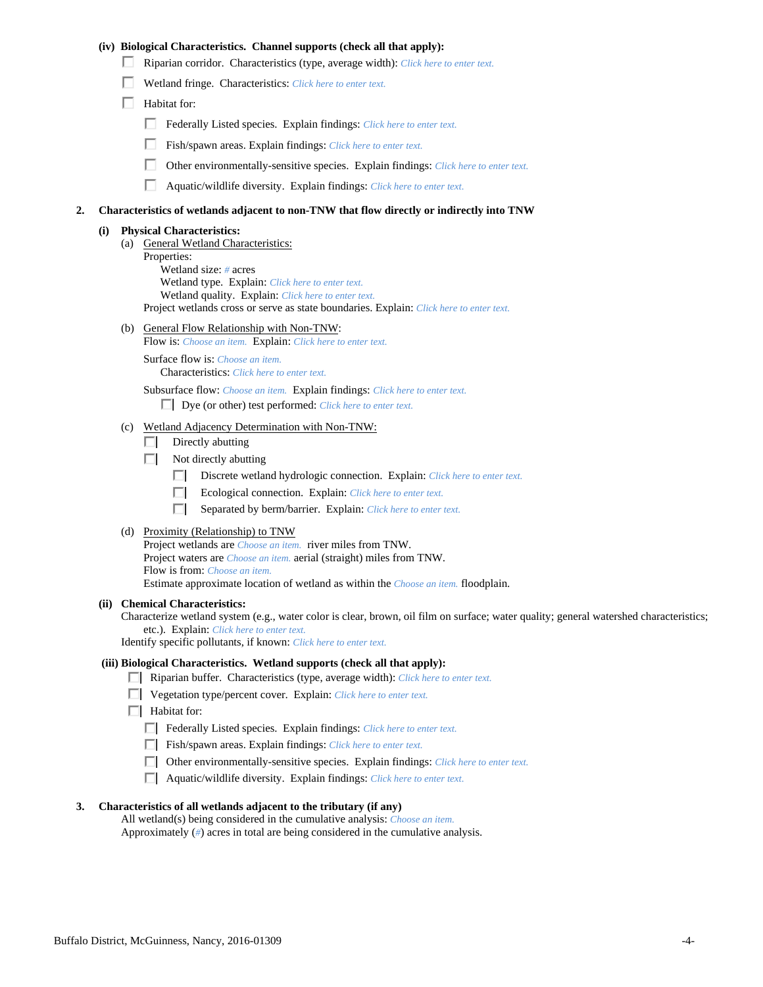### **(iv) Biological Characteristics. Channel supports (check all that apply):**

- Riparian corridor. Characteristics (type, average width): *Click here to enter text.*
- Wetland fringe. Characteristics: *Click here to enter text.*
- $\Box$  Habitat for:
	- Federally Listed species. Explain findings: *Click here to enter text.*
	- Fish/spawn areas. Explain findings: *Click here to enter text*.
	- п. Other environmentally-sensitive species. Explain findings: *Click here to enter text.*
	- П Aquatic/wildlife diversity. Explain findings: *Click here to enter text.*

#### **2. Characteristics of wetlands adjacent to non-TNW that flow directly or indirectly into TNW**

#### **(i) Physical Characteristics:**

- (a) General Wetland Characteristics:
	- Properties:

 Wetland size: *#* acres Wetland type. Explain: *Click here to enter text.*

Wetland quality. Explain: *Click here to enter text.*

Project wetlands cross or serve as state boundaries. Explain: *Click here to enter text.*

(b) General Flow Relationship with Non-TNW: Flow is: *Choose an item.* Explain: *Click here to enter text.*

 Surface flow is: *Choose an item.* Characteristics: *Click here to enter text.*

Subsurface flow: *Choose an item.* Explain findings: *Click here to enter text.*

Dye (or other) test performed: *Click here to enter text.*

### (c) Wetland Adjacency Determination with Non-TNW:

- $\Box$  Directly abutting
- $\Box$  Not directly abutting
	- п. Discrete wetland hydrologic connection. Explain: *Click here to enter text.*
	- Ecological connection. Explain: *Click here to enter text.* П.
	- $\Box$ Separated by berm/barrier. Explain: *Click here to enter text.*
- (d) Proximity (Relationship) to TNW

Project wetlands are *Choose an item.* river miles from TNW. Project waters are *Choose an item.* aerial (straight) miles from TNW. Flow is from: *Choose an item.* Estimate approximate location of wetland as within the *Choose an item.* floodplain.

#### **(ii) Chemical Characteristics:**

Characterize wetland system (e.g., water color is clear, brown, oil film on surface; water quality; general watershed characteristics; etc.). Explain: *Click here to enter text.*

Identify specific pollutants, if known: *Click here to enter text.*

### **(iii) Biological Characteristics. Wetland supports (check all that apply):**

- Riparian buffer. Characteristics (type, average width): *Click here to enter text.*
- Vegetation type/percent cover. Explain: *Click here to enter text.*
- $\Box$  Habitat for:
	- Federally Listed species. Explain findings: *Click here to enter text*.
	- Fish/spawn areas. Explain findings: *Click here to enter text*.
	- Other environmentally-sensitive species. Explain findings: *Click here to enter text.*
	- Aquatic/wildlife diversity. Explain findings: *Click here to enter text.*

### **3. Characteristics of all wetlands adjacent to the tributary (if any)**

 All wetland(s) being considered in the cumulative analysis: *Choose an item.* Approximately (*#*) acres in total are being considered in the cumulative analysis.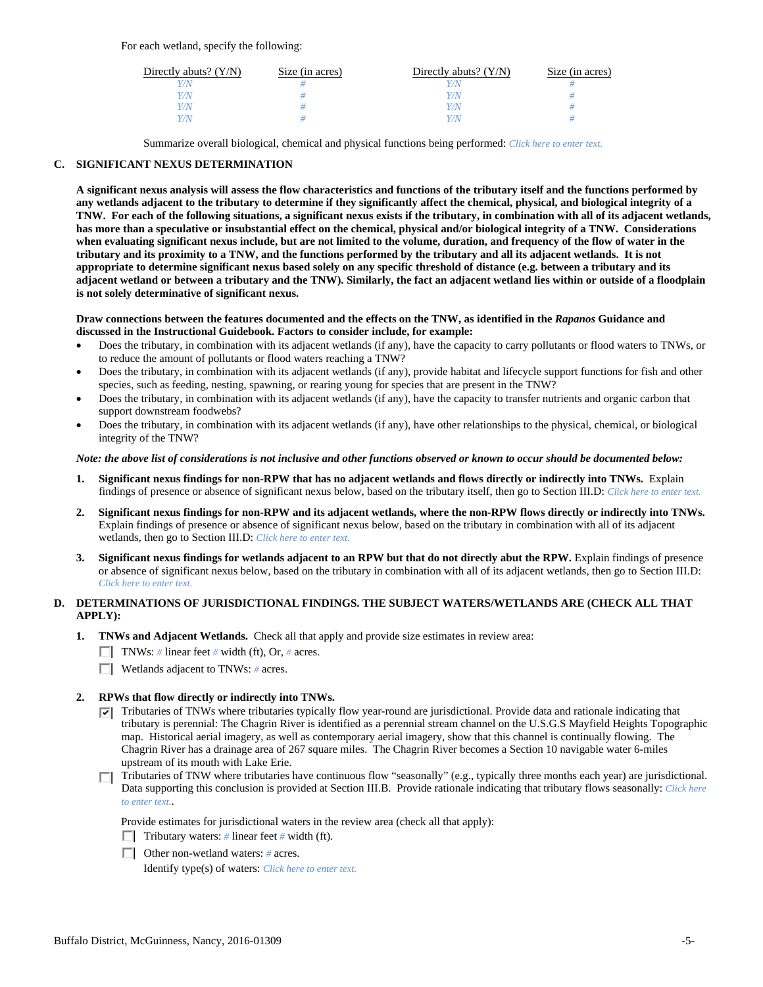| Directly abuts? $(Y/N)$ | Size (in acres) | Directly abuts? $(Y/N)$ | Size (in acres) |
|-------------------------|-----------------|-------------------------|-----------------|
| V/N                     |                 |                         |                 |
| Y/N                     |                 | $^{\prime}$ /N          |                 |
| Y/N                     |                 | 77N                     |                 |
| Y/N.                    |                 | 77N                     |                 |

Summarize overall biological, chemical and physical functions being performed: *Click here to enter text.*

# **C. SIGNIFICANT NEXUS DETERMINATION**

**A significant nexus analysis will assess the flow characteristics and functions of the tributary itself and the functions performed by any wetlands adjacent to the tributary to determine if they significantly affect the chemical, physical, and biological integrity of a TNW. For each of the following situations, a significant nexus exists if the tributary, in combination with all of its adjacent wetlands, has more than a speculative or insubstantial effect on the chemical, physical and/or biological integrity of a TNW. Considerations when evaluating significant nexus include, but are not limited to the volume, duration, and frequency of the flow of water in the tributary and its proximity to a TNW, and the functions performed by the tributary and all its adjacent wetlands. It is not appropriate to determine significant nexus based solely on any specific threshold of distance (e.g. between a tributary and its adjacent wetland or between a tributary and the TNW). Similarly, the fact an adjacent wetland lies within or outside of a floodplain is not solely determinative of significant nexus.** 

### **Draw connections between the features documented and the effects on the TNW, as identified in the** *Rapanos* **Guidance and discussed in the Instructional Guidebook. Factors to consider include, for example:**

- Does the tributary, in combination with its adjacent wetlands (if any), have the capacity to carry pollutants or flood waters to TNWs, or to reduce the amount of pollutants or flood waters reaching a TNW?
- Does the tributary, in combination with its adjacent wetlands (if any), provide habitat and lifecycle support functions for fish and other species, such as feeding, nesting, spawning, or rearing young for species that are present in the TNW?
- Does the tributary, in combination with its adjacent wetlands (if any), have the capacity to transfer nutrients and organic carbon that support downstream foodwebs?
- Does the tributary, in combination with its adjacent wetlands (if any), have other relationships to the physical, chemical, or biological integrity of the TNW?

### *Note: the above list of considerations is not inclusive and other functions observed or known to occur should be documented below:*

- **1. Significant nexus findings for non-RPW that has no adjacent wetlands and flows directly or indirectly into TNWs.** Explain findings of presence or absence of significant nexus below, based on the tributary itself, then go to Section III.D: *Click here to enter text.*
- **2. Significant nexus findings for non-RPW and its adjacent wetlands, where the non-RPW flows directly or indirectly into TNWs.**  Explain findings of presence or absence of significant nexus below, based on the tributary in combination with all of its adjacent wetlands, then go to Section III.D: *Click here to enter text.*
- **3. Significant nexus findings for wetlands adjacent to an RPW but that do not directly abut the RPW.** Explain findings of presence or absence of significant nexus below, based on the tributary in combination with all of its adjacent wetlands, then go to Section III.D: *Click here to enter text.*

# **D. DETERMINATIONS OF JURISDICTIONAL FINDINGS. THE SUBJECT WATERS/WETLANDS ARE (CHECK ALL THAT APPLY):**

- **1. TNWs and Adjacent Wetlands.** Check all that apply and provide size estimates in review area:
	- TNWs: *#* linear feet *#* width (ft), Or, *#* acres.
	- Wetlands adjacent to TNWs: *#* acres.

### **2. RPWs that flow directly or indirectly into TNWs.**

- Tributaries of TNWs where tributaries typically flow year-round are jurisdictional. Provide data and rationale indicating that tributary is perennial: The Chagrin River is identified as a perennial stream channel on the U.S.G.S Mayfield Heights Topographic map. Historical aerial imagery, as well as contemporary aerial imagery, show that this channel is continually flowing. The Chagrin River has a drainage area of 267 square miles. The Chagrin River becomes a Section 10 navigable water 6-miles upstream of its mouth with Lake Erie.
- Tributaries of TNW where tributaries have continuous flow "seasonally" (e.g., typically three months each year) are jurisdictional. Data supporting this conclusion is provided at Section III.B. Provide rationale indicating that tributary flows seasonally: *Click here to enter text.*.

Provide estimates for jurisdictional waters in the review area (check all that apply):

- Tributary waters:  $\#$  linear feet  $\#$  width (ft).
- Other non-wetland waters: *#* acres.

Identify type(s) of waters: *Click here to enter text.*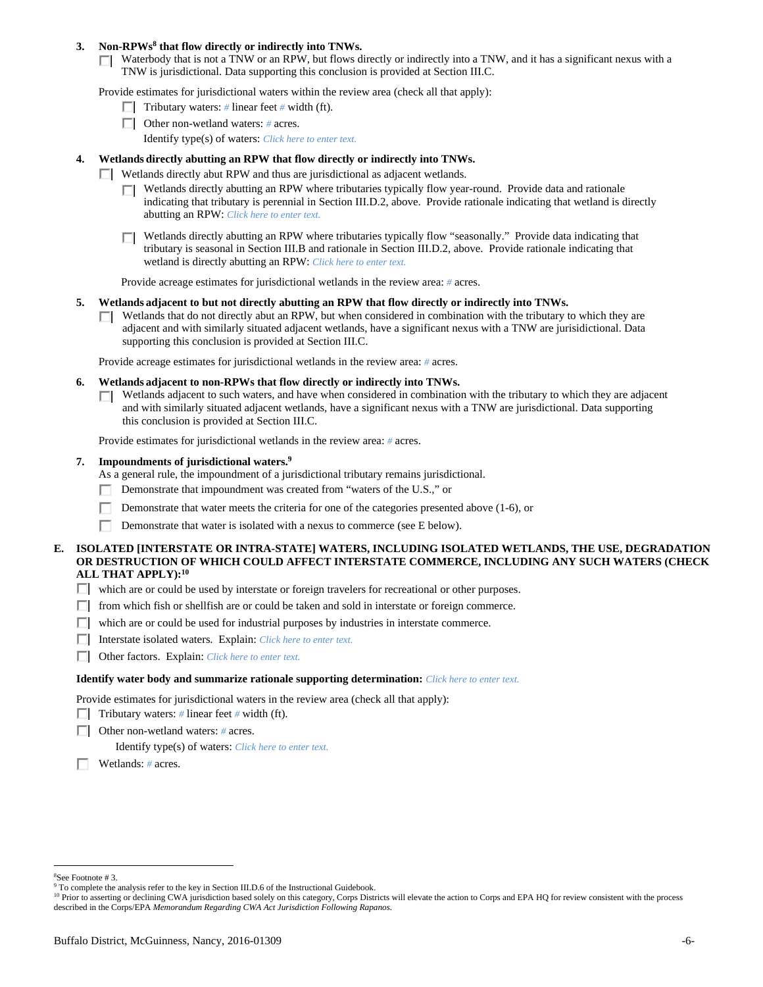### 3. Non-RPWs<sup>8</sup> that flow directly or indirectly into TNWs.

Waterbody that is not a TNW or an RPW, but flows directly or indirectly into a TNW, and it has a significant nexus with a TNW is jurisdictional. Data supporting this conclusion is provided at Section III.C.

Provide estimates for jurisdictional waters within the review area (check all that apply):

- **Tributary waters:** # linear feet # width (ft).
- Other non-wetland waters: *#* acres.
	- Identify type(s) of waters: *Click here to enter text.*

# **4. Wetlands directly abutting an RPW that flow directly or indirectly into TNWs.**

- **Wetlands directly abut RPW and thus are jurisdictional as adjacent wetlands.** 
	- Wetlands directly abutting an RPW where tributaries typically flow year-round. Provide data and rationale indicating that tributary is perennial in Section III.D.2, above. Provide rationale indicating that wetland is directly abutting an RPW: *Click here to enter text.*
	- Wetlands directly abutting an RPW where tributaries typically flow "seasonally." Provide data indicating that П tributary is seasonal in Section III.B and rationale in Section III.D.2, above. Provide rationale indicating that wetland is directly abutting an RPW: *Click here to enter text.*

Provide acreage estimates for jurisdictional wetlands in the review area: *#* acres.

- **5. Wetlands adjacent to but not directly abutting an RPW that flow directly or indirectly into TNWs.** 
	- $\Box$  Wetlands that do not directly abut an RPW, but when considered in combination with the tributary to which they are adjacent and with similarly situated adjacent wetlands, have a significant nexus with a TNW are jurisidictional. Data supporting this conclusion is provided at Section III.C.

Provide acreage estimates for jurisdictional wetlands in the review area: *#* acres.

- **6. Wetlands adjacent to non-RPWs that flow directly or indirectly into TNWs.** 
	- Wetlands adjacent to such waters, and have when considered in combination with the tributary to which they are adjacent П. and with similarly situated adjacent wetlands, have a significant nexus with a TNW are jurisdictional. Data supporting this conclusion is provided at Section III.C.

Provide estimates for jurisdictional wetlands in the review area: *#* acres.

### **7. Impoundments of jurisdictional waters.9**

As a general rule, the impoundment of a jurisdictional tributary remains jurisdictional.

- Demonstrate that impoundment was created from "waters of the U.S.," or
- Demonstrate that water meets the criteria for one of the categories presented above (1-6), or
- Demonstrate that water is isolated with a nexus to commerce (see E below).

### **E. ISOLATED [INTERSTATE OR INTRA-STATE] WATERS, INCLUDING ISOLATED WETLANDS, THE USE, DEGRADATION OR DESTRUCTION OF WHICH COULD AFFECT INTERSTATE COMMERCE, INCLUDING ANY SUCH WATERS (CHECK ALL THAT APPLY):10**

- which are or could be used by interstate or foreign travelers for recreational or other purposes.
- $\Box$  from which fish or shellfish are or could be taken and sold in interstate or foreign commerce.
- $\Box$  which are or could be used for industrial purposes by industries in interstate commerce.
- Interstate isolated waters.Explain: *Click here to enter text.*
- Other factors.Explain: *Click here to enter text.*

### **Identify water body and summarize rationale supporting determination:** *Click here to enter text.*

Provide estimates for jurisdictional waters in the review area (check all that apply):

- **Tributary waters:** # linear feet # width (ft).
- Other non-wetland waters: *#* acres.

Identify type(s) of waters: *Click here to enter text.*

Wetlands: *#* acres.

<sup>8</sup> See Footnote # 3.

<sup>&</sup>lt;sup>9</sup> To complete the analysis refer to the key in Section III.D.6 of the Instructional Guidebook.

<sup>&</sup>lt;sup>10</sup> Prior to asserting or declining CWA jurisdiction based solely on this category, Corps Districts will elevate the action to Corps and EPA HQ for review consistent with the process described in the Corps/EPA *Memorandum Regarding CWA Act Jurisdiction Following Rapanos.*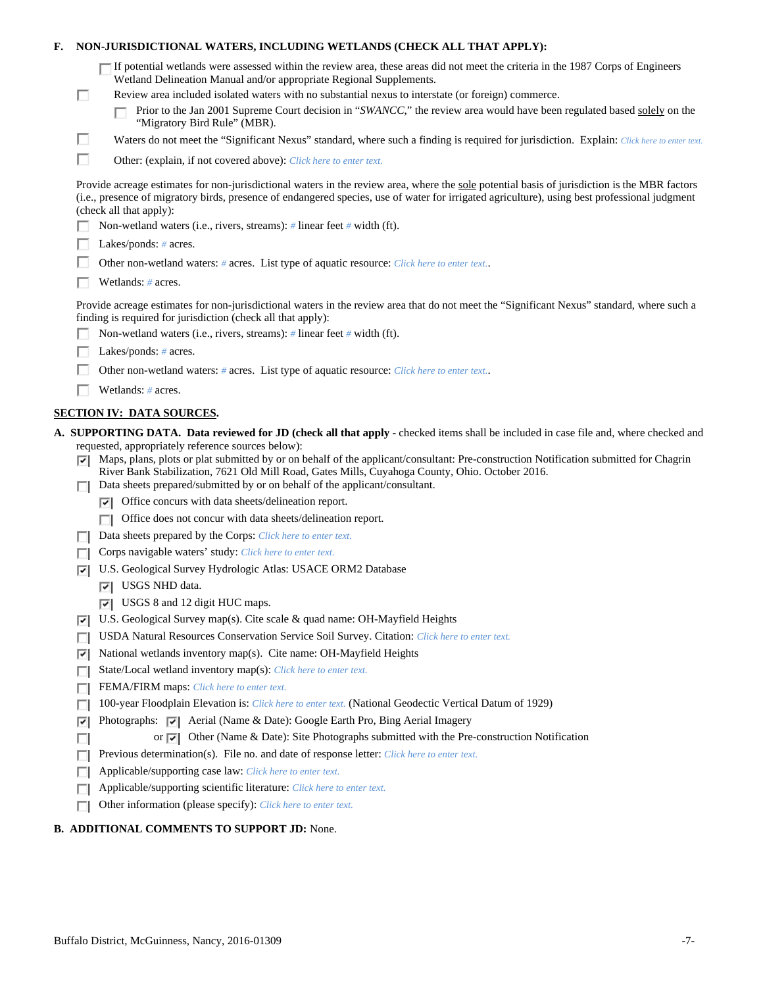| F. |    | NON-JURISDICTIONAL WATERS, INCLUDING WETLANDS (CHECK ALL THAT APPLY):                                                                                                                                                                                                                                                                                                                                                                                                                                                 |
|----|----|-----------------------------------------------------------------------------------------------------------------------------------------------------------------------------------------------------------------------------------------------------------------------------------------------------------------------------------------------------------------------------------------------------------------------------------------------------------------------------------------------------------------------|
|    | П  | If potential wetlands were assessed within the review area, these areas did not meet the criteria in the 1987 Corps of Engineers<br>Wetland Delineation Manual and/or appropriate Regional Supplements.<br>Review area included isolated waters with no substantial nexus to interstate (or foreign) commerce.<br>Prior to the Jan 2001 Supreme Court decision in "SWANCC," the review area would have been regulated based solely on the<br>"Migratory Bird Rule" (MBR).                                             |
|    | □  | Waters do not meet the "Significant Nexus" standard, where such a finding is required for jurisdiction. Explain: Click here to enter text.                                                                                                                                                                                                                                                                                                                                                                            |
|    | □  | Other: (explain, if not covered above): Click here to enter text.                                                                                                                                                                                                                                                                                                                                                                                                                                                     |
|    |    | Provide acreage estimates for non-jurisdictional waters in the review area, where the sole potential basis of jurisdiction is the MBR factors<br>(i.e., presence of migratory birds, presence of endangered species, use of water for irrigated agriculture), using best professional judgment<br>(check all that apply):                                                                                                                                                                                             |
|    |    | Non-wetland waters (i.e., rivers, streams): # linear feet # width (ft).                                                                                                                                                                                                                                                                                                                                                                                                                                               |
|    |    | Lakes/ponds: $# \, \text{acres.}$                                                                                                                                                                                                                                                                                                                                                                                                                                                                                     |
|    |    | Other non-wetland waters: # acres. List type of aquatic resource: Click here to enter text                                                                                                                                                                                                                                                                                                                                                                                                                            |
|    |    | Wetlands: # acres.                                                                                                                                                                                                                                                                                                                                                                                                                                                                                                    |
|    |    | Provide acreage estimates for non-jurisdictional waters in the review area that do not meet the "Significant Nexus" standard, where such a<br>finding is required for jurisdiction (check all that apply):                                                                                                                                                                                                                                                                                                            |
|    |    | Non-wetland waters (i.e., rivers, streams): $\#$ linear feet $\#$ width (ft).                                                                                                                                                                                                                                                                                                                                                                                                                                         |
|    |    | Lakes/ponds: $# \, \text{acres.}$                                                                                                                                                                                                                                                                                                                                                                                                                                                                                     |
|    |    | Other non-wetland waters: # acres. List type of aquatic resource: Click here to enter text                                                                                                                                                                                                                                                                                                                                                                                                                            |
|    |    | Wetlands: # acres.                                                                                                                                                                                                                                                                                                                                                                                                                                                                                                    |
|    |    | <b>SECTION IV: DATA SOURCES.</b>                                                                                                                                                                                                                                                                                                                                                                                                                                                                                      |
|    | 罓  | A. SUPPORTING DATA. Data reviewed for JD (check all that apply - checked items shall be included in case file and, where checked and<br>requested, appropriately reference sources below):<br>Maps, plans, plots or plat submitted by or on behalf of the applicant/consultant: Pre-construction Notification submitted for Chagrin<br>River Bank Stabilization, 7621 Old Mill Road, Gates Mills, Cuyahoga County, Ohio. October 2016.<br>Data sheets prepared/submitted by or on behalf of the applicant/consultant. |
|    |    | $ \vec{v} $ Office concurs with data sheets/delineation report.                                                                                                                                                                                                                                                                                                                                                                                                                                                       |
|    |    | Office does not concur with data sheets/delineation report.                                                                                                                                                                                                                                                                                                                                                                                                                                                           |
|    | ш  | Data sheets prepared by the Corps: Click here to enter text.                                                                                                                                                                                                                                                                                                                                                                                                                                                          |
|    |    | Corps navigable waters' study: Click here to enter text.                                                                                                                                                                                                                                                                                                                                                                                                                                                              |
|    | ⊽  | U.S. Geological Survey Hydrologic Atlas: USACE ORM2 Database                                                                                                                                                                                                                                                                                                                                                                                                                                                          |
|    |    | USGS NHD data.<br>罓                                                                                                                                                                                                                                                                                                                                                                                                                                                                                                   |
|    |    | USGS 8 and 12 digit HUC maps.<br>ए                                                                                                                                                                                                                                                                                                                                                                                                                                                                                    |
|    | ∣✓ | U.S. Geological Survey map(s). Cite scale & quad name: OH-Mayfield Heights                                                                                                                                                                                                                                                                                                                                                                                                                                            |
|    | ш  | USDA Natural Resources Conservation Service Soil Survey. Citation: Click here to enter text.                                                                                                                                                                                                                                                                                                                                                                                                                          |
|    | ⊽  | National wetlands inventory map(s). Cite name: OH-Mayfield Heights                                                                                                                                                                                                                                                                                                                                                                                                                                                    |
|    | п  | State/Local wetland inventory map(s): Click here to enter text.                                                                                                                                                                                                                                                                                                                                                                                                                                                       |
|    | п  | FEMA/FIRM maps: Click here to enter text.                                                                                                                                                                                                                                                                                                                                                                                                                                                                             |
|    | Е  | 100-year Floodplain Elevation is: Click here to enter text. (National Geodectic Vertical Datum of 1929)                                                                                                                                                                                                                                                                                                                                                                                                               |
|    | ⊽  | Photographs: $\overline{ \mathbf{v} }$ Aerial (Name & Date): Google Earth Pro, Bing Aerial Imagery                                                                                                                                                                                                                                                                                                                                                                                                                    |
|    | п  | or $\overline{ \mathbf{v} }$ Other (Name & Date): Site Photographs submitted with the Pre-construction Notification                                                                                                                                                                                                                                                                                                                                                                                                   |
|    |    | Previous determination(s). File no. and date of response letter: Click here to enter text.                                                                                                                                                                                                                                                                                                                                                                                                                            |
|    | Е  | Applicable/supporting case law: Click here to enter text.                                                                                                                                                                                                                                                                                                                                                                                                                                                             |
|    | Е  | Applicable/supporting scientific literature: Click here to enter text.                                                                                                                                                                                                                                                                                                                                                                                                                                                |
|    | п  | Other information (please specify): Click here to enter text.                                                                                                                                                                                                                                                                                                                                                                                                                                                         |
| D  |    | A DDITIONAL COMMENTS TO SHIDDODT ID. None                                                                                                                                                                                                                                                                                                                                                                                                                                                                             |

# **B. ADDITIONAL COMMENTS TO SUPPORT JD:** None.